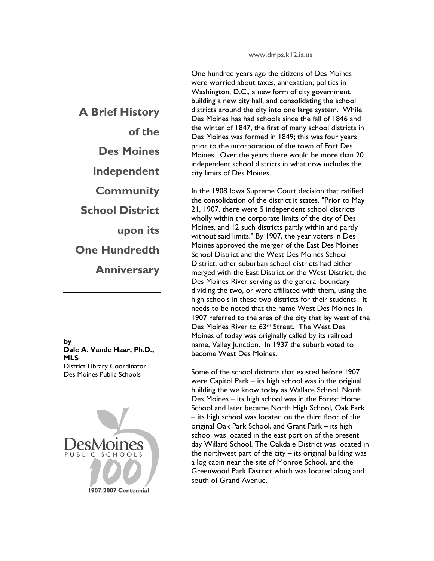www.dmps.k12.ia.us

One hundred years ago the citizens of Des Moines were worried about taxes, annexation, politics in Washington, D.C., a new form of city government, building a new city hall, and consolidating the school districts around the city into one large system. While Des Moines has had schools since the fall of 1846 and the winter of 1847, the first of many school districts in Des Moines was formed in 1849; this was four years prior to the incorporation of the town of Fort Des Moines. Over the years there would be more than 20 independent school districts in what now includes the city limits of Des Moines.

In the 1908 Iowa Supreme Court decision that ratified the consolidation of the district it states, "Prior to May 21, 1907, there were 5 independent school districts wholly within the corporate limits of the city of Des Moines, and 12 such districts partly within and partly without said limits." By 1907, the year voters in Des Moines approved the merger of the East Des Moines School District and the West Des Moines School District, other suburban school districts had either merged with the East District or the West District, the Des Moines River serving as the general boundary dividing the two, or were affiliated with them, using the high schools in these two districts for their students. It needs to be noted that the name West Des Moines in 1907 referred to the area of the city that lay west of the Des Moines River to 63rd Street. The West Des Moines of today was originally called by its railroad name, Valley Junction. In 1937 the suburb voted to become West Des Moines.

Some of the school districts that existed before 1907 were Capitol Park – its high school was in the original building the we know today as Wallace School, North Des Moines – its high school was in the Forest Home School and later became North High School, Oak Park – its high school was located on the third floor of the original Oak Park School, and Grant Park – its high school was located in the east portion of the present day Willard School. The Oakdale District was located in the northwest part of the city  $-$  its original building was a log cabin near the site of Monroe School, and the Greenwood Park District which was located along and south of Grand Avenue.

**A Brief History of the Des Moines Independent Community School District upon its One Hundredth Anniversary** 

**by Dale A. Vande Haar, Ph.D., MLS**  District Library Coordinator Des Moines Public Schools



1907-2007 Centennial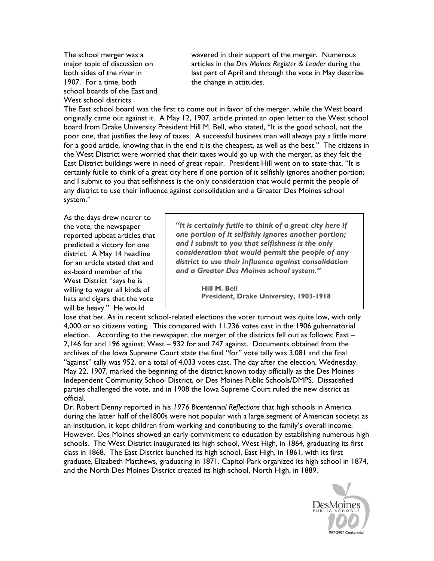The school merger was a major topic of discussion on both sides of the river in 1907. For a time, both school boards of the East and West school districts

wavered in their support of the merger. Numerous articles in the *Des Moines Register & Leader* during the last part of April and through the vote in May describe the change in attitudes.

The East school board was the first to come out in favor of the merger, while the West board originally came out against it. A May 12, 1907, article printed an open letter to the West school board from Drake University President Hill M. Bell, who stated, "It is the good school, not the poor one, that justifies the levy of taxes. A successful business man will always pay a little more for a good article, knowing that in the end it is the cheapest, as well as the best." The citizens in the West District were worried that their taxes would go up with the merger, as they felt the East District buildings were in need of great repair. President Hill went on to state that, "It is certainly futile to think of a great city here if one portion of it selfishly ignores another portion; and I submit to you that selfishness is the only consideration that would permit the people of any district to use their influence against consolidation and a Greater Des Moines school system."

As the days drew nearer to the vote, the newspaper reported upbeat articles that predicted a victory for one district. A May 14 headline for an article stated that and ex-board member of the West District "says he is willing to wager all kinds of hats and cigars that the vote will be heavy." He would

*"It is certainly futile to think of a great city here if one portion of it selfishly ignores another portion; and I submit to you that selfishness is the only consideration that would permit the people of any district to use their influence against consolidation and a Greater Des Moines school system."* 

> **Hill M. Bell President, Drake University, 1903-1918**

lose that bet. As in recent school-related elections the voter turnout was quite low, with only 4,000 or so citizens voting. This compared with 11,236 votes cast in the 1906 gubernatorial election. According to the newspaper, the merger of the districts fell out as follows: East -2,146 for and 196 against; West – 932 for and 747 against. Documents obtained from the archives of the Iowa Supreme Court state the final "for" vote tally was 3,081 and the final "against" tally was 952, or a total of 4,033 votes cast. The day after the election, Wednesday, May 22, 1907, marked the beginning of the district known today officially as the Des Moines Independent Community School District, or Des Moines Public Schools/DMPS. Dissatisfied parties challenged the vote, and in 1908 the Iowa Supreme Court ruled the new district as official.

Dr. Robert Denny reported in his *1976 Bicentennial Reflections* that high schools in America during the latter half of the1800s were not popular with a large segment of American society; as an institution, it kept children from working and contributing to the family's overall income. However, Des Moines showed an early commitment to education by establishing numerous high schools. The West District inaugurated its high school, West High, in 1864, graduating its first class in 1868. The East District launched its high school, East High, in 1861, with its first graduate, Elizabeth Matthews, graduating in 1871. Capitol Park organized its high school in 1874, and the North Des Moines District created its high school, North High, in 1889.

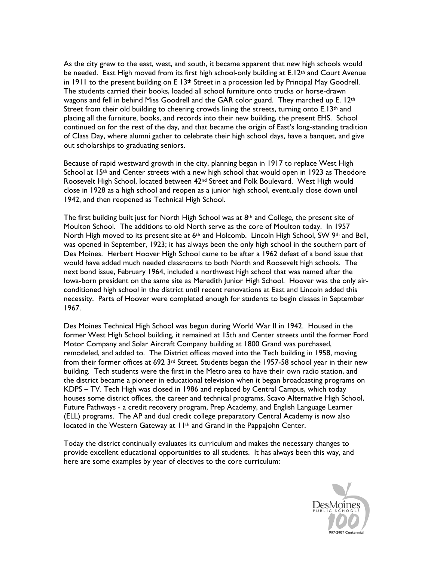As the city grew to the east, west, and south, it became apparent that new high schools would be needed. East High moved from its first high school-only building at E.12<sup>th</sup> and Court Avenue in 1911 to the present building on E 13<sup>th</sup> Street in a procession led by Principal May Goodrell. The students carried their books, loaded all school furniture onto trucks or horse-drawn wagons and fell in behind Miss Goodrell and the GAR color guard. They marched up E. 12th Street from their old building to cheering crowds lining the streets, turning onto E.13<sup>th</sup> and placing all the furniture, books, and records into their new building, the present EHS. School continued on for the rest of the day, and that became the origin of East's long-standing tradition of Class Day, where alumni gather to celebrate their high school days, have a banquet, and give out scholarships to graduating seniors.

Because of rapid westward growth in the city, planning began in 1917 to replace West High School at  $15<sup>th</sup>$  and Center streets with a new high school that would open in 1923 as Theodore Roosevelt High School, located between 42nd Street and Polk Boulevard. West High would close in 1928 as a high school and reopen as a junior high school, eventually close down until 1942, and then reopened as Technical High School.

The first building built just for North High School was at  $8<sup>th</sup>$  and College, the present site of Moulton School. The additions to old North serve as the core of Moulton today. In 1957 North High moved to its present site at 6<sup>th</sup> and Holcomb. Lincoln High School, SW 9<sup>th</sup> and Bell, was opened in September, 1923; it has always been the only high school in the southern part of Des Moines. Herbert Hoover High School came to be after a 1962 defeat of a bond issue that would have added much needed classrooms to both North and Roosevelt high schools. The next bond issue, February 1964, included a northwest high school that was named after the Iowa-born president on the same site as Meredith Junior High School. Hoover was the only airconditioned high school in the district until recent renovations at East and Lincoln added this necessity. Parts of Hoover were completed enough for students to begin classes in September 1967.

Des Moines Technical High School was begun during World War II in 1942. Housed in the former West High School building, it remained at 15th and Center streets until the former Ford Motor Company and Solar Aircraft Company building at 1800 Grand was purchased, remodeled, and added to. The District offices moved into the Tech building in 1958, moving from their former offices at 692 3rd Street. Students began the 1957-58 school year in their new building. Tech students were the first in the Metro area to have their own radio station, and the district became a pioneer in educational television when it began broadcasting programs on KDPS – TV. Tech High was closed in 1986 and replaced by Central Campus, which today houses some district offices, the career and technical programs, Scavo Alternative High School, Future Pathways - a credit recovery program, Prep Academy, and English Language Learner (ELL) programs. The AP and dual credit college preparatory Central Academy is now also located in the Western Gateway at 11th and Grand in the Pappajohn Center.

Today the district continually evaluates its curriculum and makes the necessary changes to provide excellent educational opportunities to all students. It has always been this way, and here are some examples by year of electives to the core curriculum:

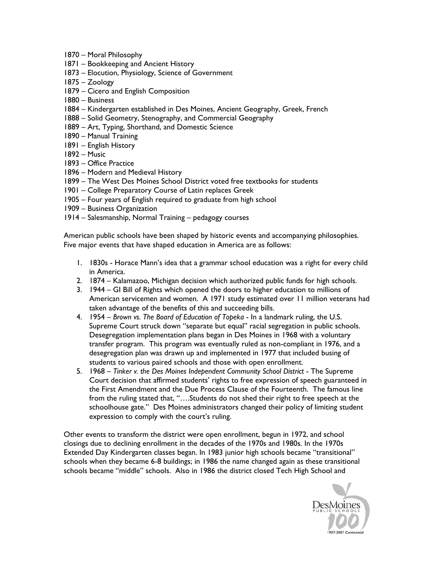- 1870 Moral Philosophy
- 1871 Bookkeeping and Ancient History
- 1873 Elocution, Physiology, Science of Government
- 1875 Zoology
- 1879 Cicero and English Composition
- 1880 Business
- 1884 Kindergarten established in Des Moines, Ancient Geography, Greek, French
- 1888 Solid Geometry, Stenography, and Commercial Geography
- 1889 Art, Typing, Shorthand, and Domestic Science
- 1890 Manual Training
- 1891 English History
- 1892 Music
- 1893 Office Practice
- 1896 Modern and Medieval History
- 1899 The West Des Moines School District voted free textbooks for students
- 1901 College Preparatory Course of Latin replaces Greek
- 1905 Four years of English required to graduate from high school
- 1909 Business Organization
- 1914 Salesmanship, Normal Training pedagogy courses

American public schools have been shaped by historic events and accompanying philosophies. Five major events that have shaped education in America are as follows:

- 1. 1830s Horace Mann's idea that a grammar school education was a right for every child in America.
- 2. 1874 Kalamazoo, Michigan decision which authorized public funds for high schools.
- 3. 1944 GI Bill of Rights which opened the doors to higher education to millions of American servicemen and women. A 1971 study estimated over 11 million veterans had taken advantage of the benefits of this and succeeding bills.
- 4. 1954 *Brown vs. The Board of Education of Topeka* In a landmark ruling, the U.S. Supreme Court struck down "separate but equal" racial segregation in public schools. Desegregation implementation plans began in Des Moines in 1968 with a voluntary transfer program. This program was eventually ruled as non-compliant in 1976, and a desegregation plan was drawn up and implemented in 1977 that included busing of students to various paired schools and those with open enrollment.
- 5. 1968 *Tinker v. the Des Moines Independent Community School District* The Supreme Court decision that affirmed students' rights to free expression of speech guaranteed in the First Amendment and the Due Process Clause of the Fourteenth. The famous line from the ruling stated that, "….Students do not shed their right to free speech at the schoolhouse gate." Des Moines administrators changed their policy of limiting student expression to comply with the court's ruling.

Other events to transform the district were open enrollment, begun in 1972, and school closings due to declining enrollment in the decades of the 1970s and 1980s. In the 1970s Extended Day Kindergarten classes began. In 1983 junior high schools became "transitional" schools when they became 6-8 buildings; in 1986 the name changed again as these transitional schools became "middle" schools. Also in 1986 the district closed Tech High School and

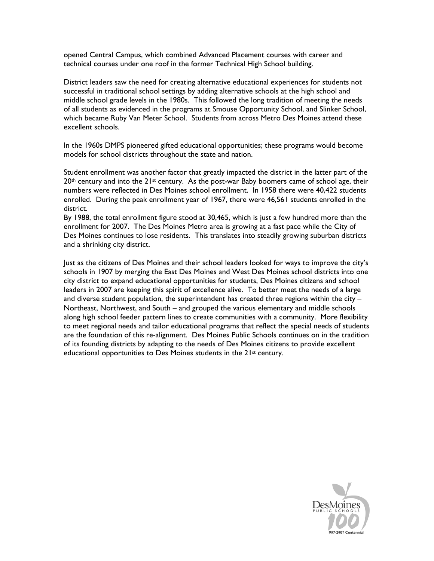opened Central Campus, which combined Advanced Placement courses with career and technical courses under one roof in the former Technical High School building.

District leaders saw the need for creating alternative educational experiences for students not successful in traditional school settings by adding alternative schools at the high school and middle school grade levels in the 1980s. This followed the long tradition of meeting the needs of all students as evidenced in the programs at Smouse Opportunity School, and Slinker School, which became Ruby Van Meter School. Students from across Metro Des Moines attend these excellent schools.

In the 1960s DMPS pioneered gifted educational opportunities; these programs would become models for school districts throughout the state and nation.

Student enrollment was another factor that greatly impacted the district in the latter part of the  $20<sup>th</sup>$  century and into the  $21<sup>st</sup>$  century. As the post-war Baby boomers came of school age, their numbers were reflected in Des Moines school enrollment. In 1958 there were 40,422 students enrolled. During the peak enrollment year of 1967, there were 46,561 students enrolled in the district.

By 1988, the total enrollment figure stood at 30,465, which is just a few hundred more than the enrollment for 2007. The Des Moines Metro area is growing at a fast pace while the City of Des Moines continues to lose residents. This translates into steadily growing suburban districts and a shrinking city district.

Just as the citizens of Des Moines and their school leaders looked for ways to improve the city's schools in 1907 by merging the East Des Moines and West Des Moines school districts into one city district to expand educational opportunities for students, Des Moines citizens and school leaders in 2007 are keeping this spirit of excellence alive. To better meet the needs of a large and diverse student population, the superintendent has created three regions within the city – Northeast, Northwest, and South – and grouped the various elementary and middle schools along high school feeder pattern lines to create communities with a community. More flexibility to meet regional needs and tailor educational programs that reflect the special needs of students are the foundation of this re-alignment. Des Moines Public Schools continues on in the tradition of its founding districts by adapting to the needs of Des Moines citizens to provide excellent educational opportunities to Des Moines students in the 21st century.